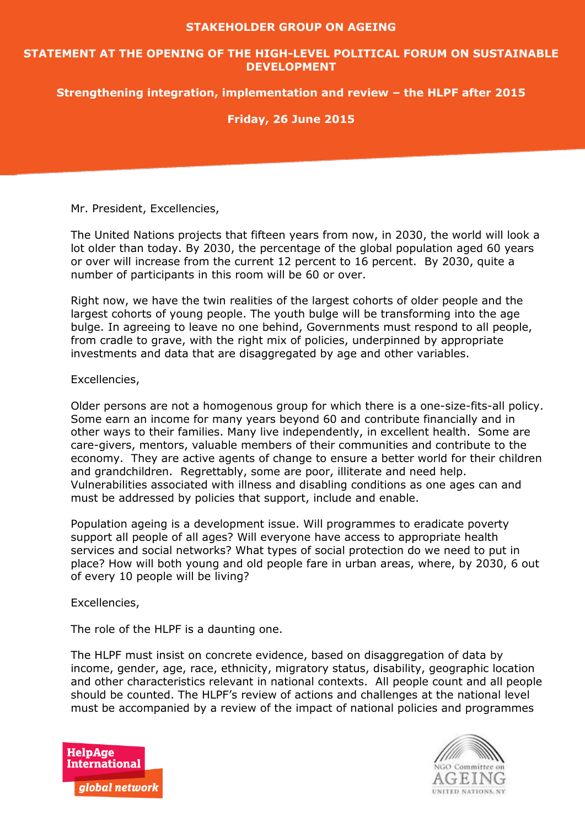#### **STAKEHOLDER GROUP ON AGEING**

#### **STATEMENT AT THE OPENING OF THE HIGH-LEVEL POLITICAL FORUM ON SUSTAINABLE DEVELOPMENT**

## **Strengthening integration, implementation and review – the HLPF after 2015**

## **Friday, 26 June 2015**

Mr. President, Excellencies,

The United Nations projects that fifteen years from now, in 2030, the world will look a lot older than today. By 2030, the percentage of the global population aged 60 years or over will increase from the current 12 percent to 16 percent. By 2030, quite a number of participants in this room will be 60 or over.

Right now, we have the twin realities of the largest cohorts of older people and the largest cohorts of young people. The youth bulge will be transforming into the age bulge. In agreeing to leave no one behind, Governments must respond to all people, from cradle to grave, with the right mix of policies, underpinned by appropriate investments and data that are disaggregated by age and other variables.

#### Excellencies,

Older persons are not a homogenous group for which there is a one-size-fits-all policy. Some earn an income for many years beyond 60 and contribute financially and in other ways to their families. Many live independently, in excellent health. Some are care-givers, mentors, valuable members of their communities and contribute to the economy. They are active agents of change to ensure a better world for their children and grandchildren. Regrettably, some are poor, illiterate and need help. Vulnerabilities associated with illness and disabling conditions as one ages can and must be addressed by policies that support, include and enable.

Population ageing is a development issue. Will programmes to eradicate poverty support all people of all ages? Will everyone have access to appropriate health services and social networks? What types of social protection do we need to put in place? How will both young and old people fare in urban areas, where, by 2030, 6 out of every 10 people will be living?

Excellencies,

The role of the HLPF is a daunting one.

The HLPF must insist on concrete evidence, based on disaggregation of data by income, gender, age, race, ethnicity, migratory status, disability, geographic location and other characteristics relevant in national contexts. All people count and all people should be counted. The HLPF's review of actions and challenges at the national level must be accompanied by a review of the impact of national policies and programmes